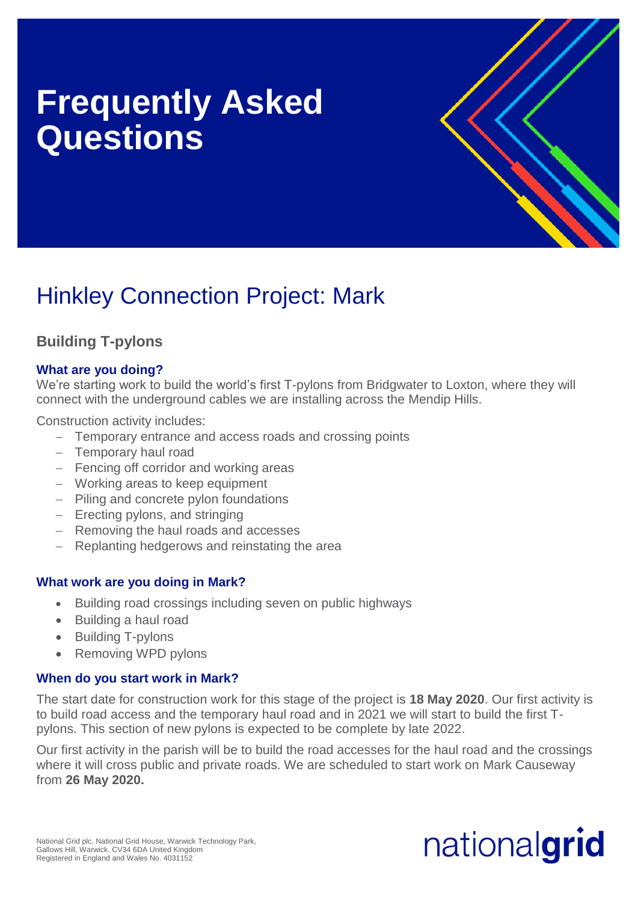# **Frequently Asked Questions**



# Hinkley Connection Project: Mark

# **Building T-pylons**

# **What are you doing?**

We're starting work to build the world's first T-pylons from Bridgwater to Loxton, where they will connect with the underground cables we are installing across the Mendip Hills.

Construction activity includes:

- Temporary entrance and access roads and crossing points
- Temporary haul road
- Fencing off corridor and working areas
- Working areas to keep equipment
- Piling and concrete pylon foundations
- $-$  Erecting pylons, and stringing
- Removing the haul roads and accesses
- Replanting hedgerows and reinstating the area

## **What work are you doing in Mark?**

- Building road crossings including seven on public highways
- Building a haul road
- Building T-pylons
- Removing WPD pylons

## **When do you start work in Mark?**

The start date for construction work for this stage of the project is **18 May 2020**. Our first activity is to build road access and the temporary haul road and in 2021 we will start to build the first Tpylons. This section of new pylons is expected to be complete by late 2022.

Our first activity in the parish will be to build the road accesses for the haul road and the crossings where it will cross public and private roads. We are scheduled to start work on Mark Causeway from **26 May 2020.**

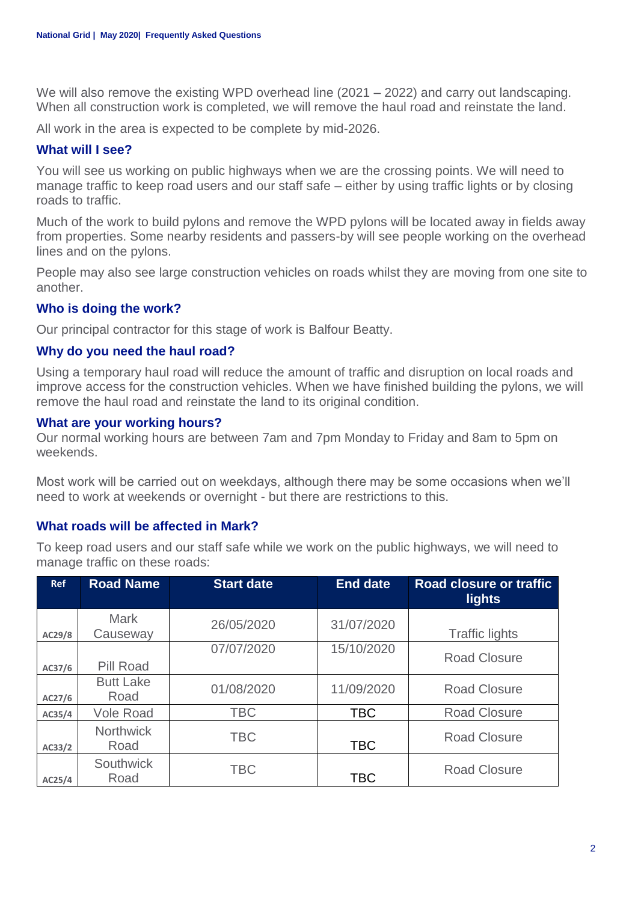We will also remove the existing WPD overhead line (2021 – 2022) and carry out landscaping. When all construction work is completed, we will remove the haul road and reinstate the land.

All work in the area is expected to be complete by mid-2026.

#### **What will I see?**

You will see us working on public highways when we are the crossing points. We will need to manage traffic to keep road users and our staff safe – either by using traffic lights or by closing roads to traffic.

Much of the work to build pylons and remove the WPD pylons will be located away in fields away from properties. Some nearby residents and passers-by will see people working on the overhead lines and on the pylons.

People may also see large construction vehicles on roads whilst they are moving from one site to another.

#### **Who is doing the work?**

Our principal contractor for this stage of work is Balfour Beatty.

#### **Why do you need the haul road?**

Using a temporary haul road will reduce the amount of traffic and disruption on local roads and improve access for the construction vehicles. When we have finished building the pylons, we will remove the haul road and reinstate the land to its original condition.

#### **What are your working hours?**

Our normal working hours are between 7am and 7pm Monday to Friday and 8am to 5pm on weekends.

Most work will be carried out on weekdays, although there may be some occasions when we'll need to work at weekends or overnight - but there are restrictions to this.

#### **What roads will be affected in Mark?**

To keep road users and our staff safe while we work on the public highways, we will need to manage traffic on these roads:

| <b>Ref</b> | <b>Road Name</b>         | <b>Start date</b> | <b>End date</b> | Road closure or traffic<br><b>lights</b> |
|------------|--------------------------|-------------------|-----------------|------------------------------------------|
| AC29/8     | <b>Mark</b><br>Causeway  | 26/05/2020        | 31/07/2020      | <b>Traffic lights</b>                    |
| AC37/6     | Pill Road                | 07/07/2020        | 15/10/2020      | <b>Road Closure</b>                      |
| AC27/6     | <b>Butt Lake</b><br>Road | 01/08/2020        | 11/09/2020      | <b>Road Closure</b>                      |
| AC35/4     | <b>Vole Road</b>         | <b>TBC</b>        | <b>TBC</b>      | <b>Road Closure</b>                      |
| AC33/2     | <b>Northwick</b><br>Road | <b>TBC</b>        | <b>TBC</b>      | <b>Road Closure</b>                      |
| AC25/4     | <b>Southwick</b><br>Road | <b>TBC</b>        | <b>TBC</b>      | <b>Road Closure</b>                      |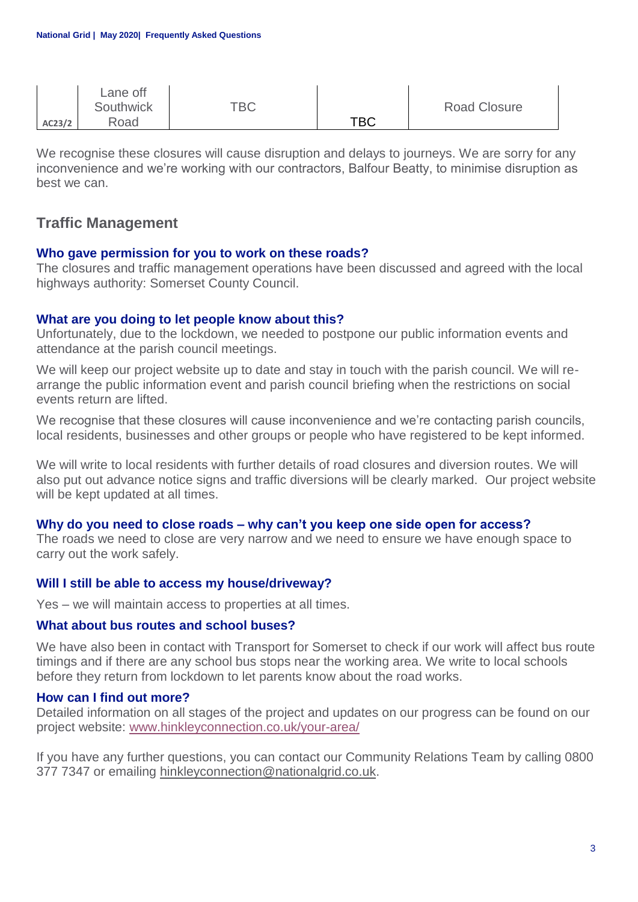|        | Lane off<br>Southwick | TBC |     | <b>Road Closure</b> |
|--------|-----------------------|-----|-----|---------------------|
| AC23/2 | Road                  |     | TBC |                     |

We recognise these closures will cause disruption and delays to journeys. We are sorry for any inconvenience and we're working with our contractors, Balfour Beatty, to minimise disruption as best we can.

# **Traffic Management**

#### **Who gave permission for you to work on these roads?**

The closures and traffic management operations have been discussed and agreed with the local highways authority: Somerset County Council.

#### **What are you doing to let people know about this?**

Unfortunately, due to the lockdown, we needed to postpone our public information events and attendance at the parish council meetings.

We will keep our project website up to date and stay in touch with the parish council. We will rearrange the public information event and parish council briefing when the restrictions on social events return are lifted.

We recognise that these closures will cause inconvenience and we're contacting parish councils, local residents, businesses and other groups or people who have registered to be kept informed.

We will write to local residents with further details of road closures and diversion routes. We will also put out advance notice signs and traffic diversions will be clearly marked. Our project website will be kept updated at all times.

#### **Why do you need to close roads – why can't you keep one side open for access?**

The roads we need to close are very narrow and we need to ensure we have enough space to carry out the work safely.

#### **Will I still be able to access my house/driveway?**

Yes – we will maintain access to properties at all times.

#### **What about bus routes and school buses?**

We have also been in contact with Transport for Somerset to check if our work will affect bus route timings and if there are any school bus stops near the working area. We write to local schools before they return from lockdown to let parents know about the road works.

#### **How can I find out more?**

Detailed information on all stages of the project and updates on our progress can be found on our project website: [www.hinkleyconnection.co.uk/your-area/](http://www.hinkleyconnection.co.uk/your-area/)

If you have any further questions, you can contact our Community Relations Team by calling 0800 377 7347 or emailing [hinkleyconnection@nationalgrid.co.uk.](mailto:hinkleyconnection@nationalgrid.co.uk)